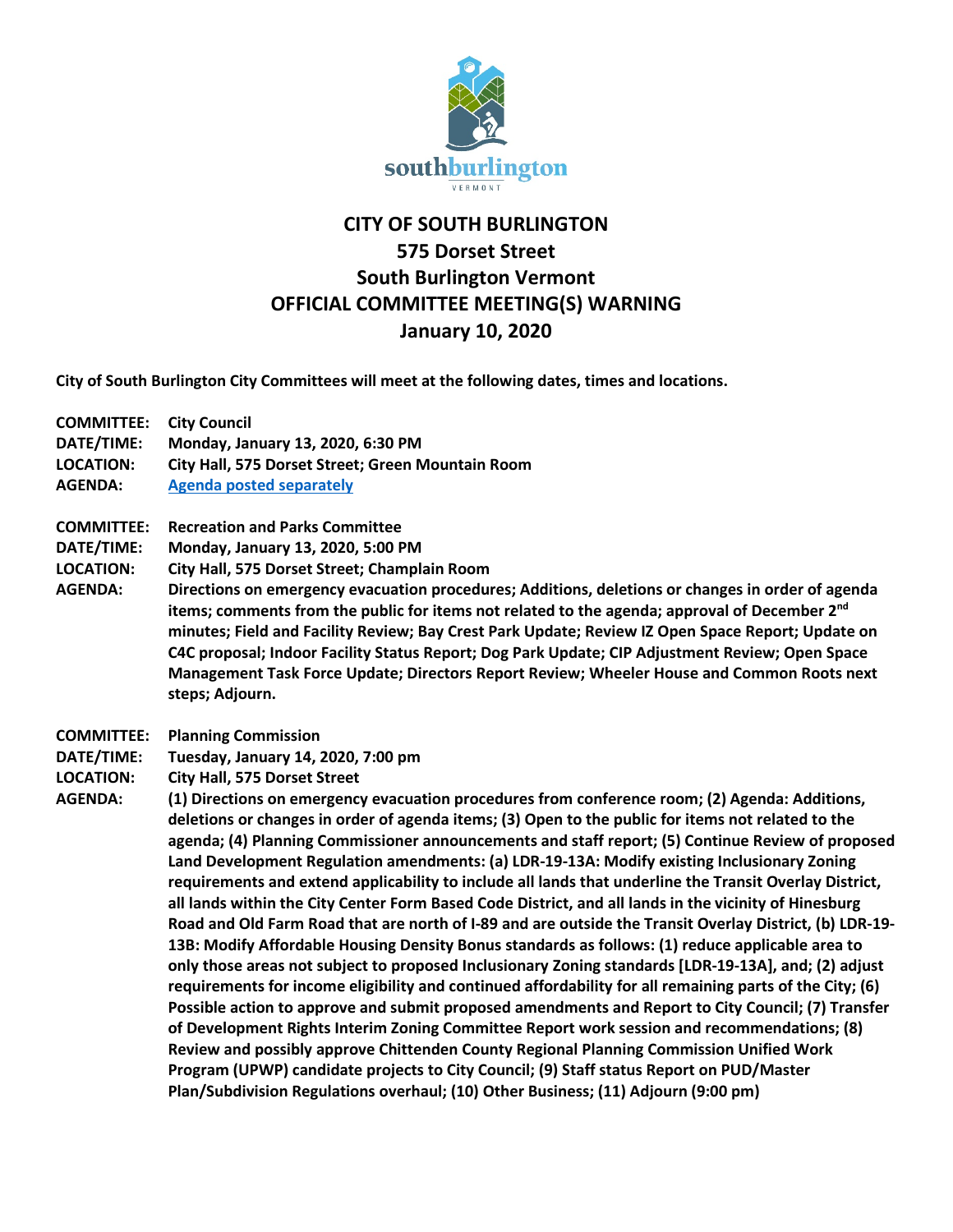

## **CITY OF SOUTH BURLINGTON 575 Dorset Street South Burlington Vermont OFFICIAL COMMITTEE MEETING(S) WARNING January 10, 2020**

**City of South Burlington City Committees will meet at the following dates, times and locations.** 

- **COMMITTEE: City Council**
- **DATE/TIME: Monday, January 13, 2020, 6:30 PM**
- **LOCATION: City Hall, 575 Dorset Street; Green Mountain Room**
- **AGENDA: [Agenda posted separately](file://city-adserver/apps/USERS/Agendas-%20City%20Council/2020%20City%20Council%20Agendas/01%20January%2013,%202019%20SM/Agenda%2001.13.20.pdf)**
- **COMMITTEE: Recreation and Parks Committee**
- **DATE/TIME: Monday, January 13, 2020, 5:00 PM**
- **LOCATION: City Hall, 575 Dorset Street; Champlain Room**
- **AGENDA: Directions on emergency evacuation procedures; Additions, deletions or changes in order of agenda items; comments from the public for items not related to the agenda; approval of December 2nd minutes; Field and Facility Review; Bay Crest Park Update; Review IZ Open Space Report; Update on C4C proposal; Indoor Facility Status Report; Dog Park Update; CIP Adjustment Review; Open Space Management Task Force Update; Directors Report Review; Wheeler House and Common Roots next steps; Adjourn.**
- **COMMITTEE: Planning Commission**
- **DATE/TIME: Tuesday, January 14, 2020, 7:00 pm**
- **LOCATION: City Hall, 575 Dorset Street**
- **AGENDA: (1) Directions on emergency evacuation procedures from conference room; (2) Agenda: Additions, deletions or changes in order of agenda items; (3) Open to the public for items not related to the agenda; (4) Planning Commissioner announcements and staff report; (5) Continue Review of proposed Land Development Regulation amendments: (a) LDR-19-13A: Modify existing Inclusionary Zoning requirements and extend applicability to include all lands that underline the Transit Overlay District, all lands within the City Center Form Based Code District, and all lands in the vicinity of Hinesburg Road and Old Farm Road that are north of I-89 and are outside the Transit Overlay District, (b) LDR-19- 13B: Modify Affordable Housing Density Bonus standards as follows: (1) reduce applicable area to only those areas not subject to proposed Inclusionary Zoning standards [LDR-19-13A], and; (2) adjust requirements for income eligibility and continued affordability for all remaining parts of the City; (6) Possible action to approve and submit proposed amendments and Report to City Council; (7) Transfer of Development Rights Interim Zoning Committee Report work session and recommendations; (8) Review and possibly approve Chittenden County Regional Planning Commission Unified Work Program (UPWP) candidate projects to City Council; (9) Staff status Report on PUD/Master Plan/Subdivision Regulations overhaul; (10) Other Business; (11) Adjourn (9:00 pm)**